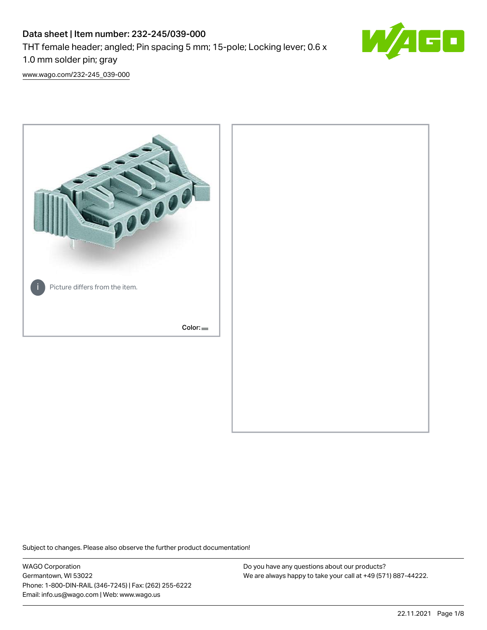# Data sheet | Item number: 232-245/039-000 THT female header; angled; Pin spacing 5 mm; 15-pole; Locking lever; 0.6 x 1.0 mm solder pin; gray



[www.wago.com/232-245\\_039-000](http://www.wago.com/232-245_039-000)



Subject to changes. Please also observe the further product documentation!

WAGO Corporation Germantown, WI 53022 Phone: 1-800-DIN-RAIL (346-7245) | Fax: (262) 255-6222 Email: info.us@wago.com | Web: www.wago.us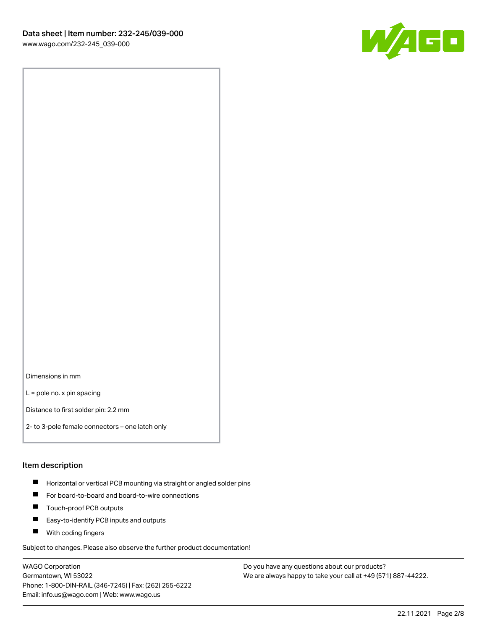

Dimensions in mm

L = pole no. x pin spacing

Distance to first solder pin: 2.2 mm

2- to 3-pole female connectors – one latch only

#### Item description

- **Horizontal or vertical PCB mounting via straight or angled solder pins**
- For board-to-board and board-to-wire connections
- $\blacksquare$ Touch-proof PCB outputs
- $\blacksquare$ Easy-to-identify PCB inputs and outputs
- **Now With coding fingers**

Subject to changes. Please also observe the further product documentation!

WAGO Corporation Germantown, WI 53022 Phone: 1-800-DIN-RAIL (346-7245) | Fax: (262) 255-6222 Email: info.us@wago.com | Web: www.wago.us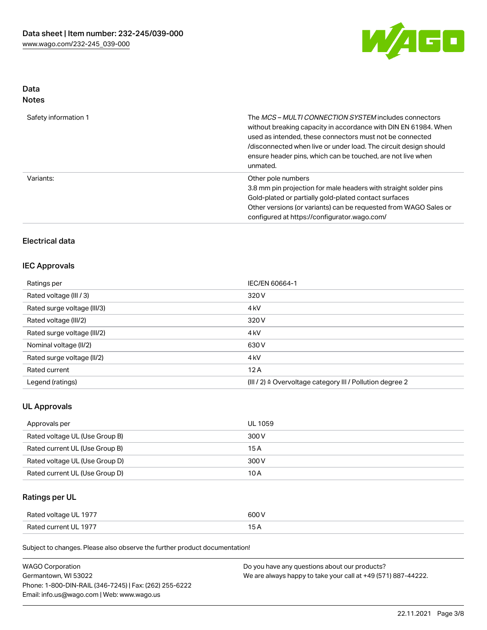

# Data

| Safety information 1 | The <i>MCS – MULTI CONNECTION SYSTEM</i> includes connectors<br>without breaking capacity in accordance with DIN EN 61984. When<br>used as intended, these connectors must not be connected<br>/disconnected when live or under load. The circuit design should<br>ensure header pins, which can be touched, are not live when<br>unmated. |
|----------------------|--------------------------------------------------------------------------------------------------------------------------------------------------------------------------------------------------------------------------------------------------------------------------------------------------------------------------------------------|
| Variants:            | Other pole numbers<br>3.8 mm pin projection for male headers with straight solder pins<br>Gold-plated or partially gold-plated contact surfaces<br>Other versions (or variants) can be requested from WAGO Sales or<br>configured at https://configurator.wago.com/                                                                        |

# Electrical data

## IEC Approvals

| Ratings per                 | IEC/EN 60664-1                                                       |
|-----------------------------|----------------------------------------------------------------------|
| Rated voltage (III / 3)     | 320 V                                                                |
| Rated surge voltage (III/3) | 4 <sub>k</sub> V                                                     |
| Rated voltage (III/2)       | 320 V                                                                |
| Rated surge voltage (III/2) | 4 <sub>k</sub> V                                                     |
| Nominal voltage (II/2)      | 630 V                                                                |
| Rated surge voltage (II/2)  | 4 <sub>k</sub> V                                                     |
| Rated current               | 12A                                                                  |
| Legend (ratings)            | (III / 2) $\triangleq$ Overvoltage category III / Pollution degree 2 |

## UL Approvals

| Approvals per                  | UL 1059 |
|--------------------------------|---------|
| Rated voltage UL (Use Group B) | 300 V   |
| Rated current UL (Use Group B) | 15 A    |
| Rated voltage UL (Use Group D) | 300 V   |
| Rated current UL (Use Group D) | 10 A    |

# Ratings per UL

| Rated voltage UL 1977 | 600 V |
|-----------------------|-------|
| Rated current UL 1977 |       |

Subject to changes. Please also observe the further product documentation!

| <b>WAGO Corporation</b>                                | Do you have any questions about our products?                 |
|--------------------------------------------------------|---------------------------------------------------------------|
| Germantown, WI 53022                                   | We are always happy to take your call at +49 (571) 887-44222. |
| Phone: 1-800-DIN-RAIL (346-7245)   Fax: (262) 255-6222 |                                                               |
| Email: info.us@wago.com   Web: www.wago.us             |                                                               |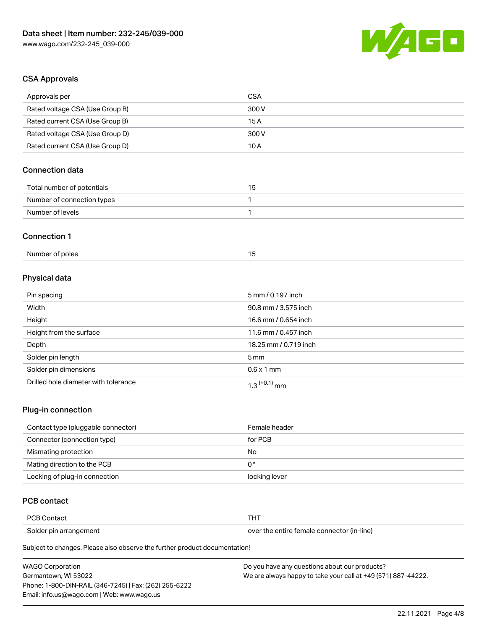

# CSA Approvals

| Approvals per                   | <b>CSA</b>            |  |
|---------------------------------|-----------------------|--|
| Rated voltage CSA (Use Group B) | 300V                  |  |
| Rated current CSA (Use Group B) | 15A                   |  |
| Rated voltage CSA (Use Group D) | 300V                  |  |
| Rated current CSA (Use Group D) | 10A                   |  |
| <b>Connection data</b>          |                       |  |
| Total number of potentials      | 15                    |  |
| Number of connection types      | 1                     |  |
| Number of levels                | 1                     |  |
| <b>Connection 1</b>             |                       |  |
| Number of poles                 | 15                    |  |
| Physical data                   |                       |  |
| Pin spacing                     | 5 mm / 0.197 inch     |  |
| Width                           | 90.8 mm / 3.575 inch  |  |
| Height                          | 16.6 mm / 0.654 inch  |  |
| Height from the surface         | 11.6 mm / 0.457 inch  |  |
| Depth                           | 18.25 mm / 0.719 inch |  |
| Solder pin length               | 5 <sub>mm</sub>       |  |
| Solder pin dimensions           | $0.6 \times 1$ mm     |  |

## Plug-in connection

| Contact type (pluggable connector) | Female header |
|------------------------------------|---------------|
| Connector (connection type)        | for PCB       |
| Mismating protection               | No            |
| Mating direction to the PCB        | 0°            |
| Locking of plug-in connection      | locking lever |

# PCB contact

| <b>PCB Contact</b>     |                                            |
|------------------------|--------------------------------------------|
| Solder pin arrangement | over the entire female connector (in-line) |

Subject to changes. Please also observe the further product documentation!

Drilled hole diameter with tolerance  $1.3$   $(+0.1)$  mm

| <b>WAGO Corporation</b>                                | Do you have any questions about our products?                 |
|--------------------------------------------------------|---------------------------------------------------------------|
| Germantown. WI 53022                                   | We are always happy to take your call at +49 (571) 887-44222. |
| Phone: 1-800-DIN-RAIL (346-7245)   Fax: (262) 255-6222 |                                                               |
| Email: info.us@wago.com   Web: www.wago.us             |                                                               |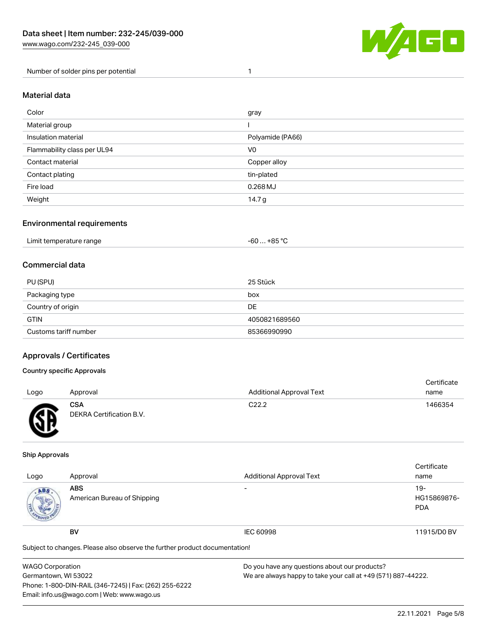

Number of solder pins per potential 1

#### Material data

| Color                       | gray             |
|-----------------------------|------------------|
| Material group              |                  |
| Insulation material         | Polyamide (PA66) |
| Flammability class per UL94 | V <sub>0</sub>   |
| Contact material            | Copper alloy     |
| Contact plating             | tin-plated       |
| Fire load                   | $0.268$ MJ       |
| Weight                      | 14.7 g           |

## Environmental requirements

| Limit temperature range<br>. | +85 ° <sup>∩</sup><br>-60 |  |
|------------------------------|---------------------------|--|
|------------------------------|---------------------------|--|

## Commercial data

| PU (SPU)              | 25 Stück      |
|-----------------------|---------------|
| Packaging type        | box           |
| Country of origin     | DE            |
| <b>GTIN</b>           | 4050821689560 |
| Customs tariff number | 85366990990   |

## Approvals / Certificates

#### Country specific Approvals

| Logo | Approval                               | <b>Additional Approval Text</b> | Certificate<br>name |
|------|----------------------------------------|---------------------------------|---------------------|
| Гπ   | <b>CSA</b><br>DEKRA Certification B.V. | C <sub>22.2</sub>               | 1466354             |

#### Ship Approvals

| Logo | Approval                                                                   | <b>Additional Approval Text</b> | Certificate<br>name                |  |
|------|----------------------------------------------------------------------------|---------------------------------|------------------------------------|--|
| ABS  | <b>ABS</b><br>American Bureau of Shipping                                  |                                 | $19-$<br>HG15869876-<br><b>PDA</b> |  |
|      | BV                                                                         | IEC 60998                       | 11915/D0 BV                        |  |
|      | Subject to changes. Please also observe the further product documentation! |                                 |                                    |  |

| <b>WAGO Corporation</b>                                | Do you have any questions about our products?                 |
|--------------------------------------------------------|---------------------------------------------------------------|
| Germantown, WI 53022                                   | We are always happy to take your call at +49 (571) 887-44222. |
| Phone: 1-800-DIN-RAIL (346-7245)   Fax: (262) 255-6222 |                                                               |
| Email: info.us@wago.com   Web: www.wago.us             |                                                               |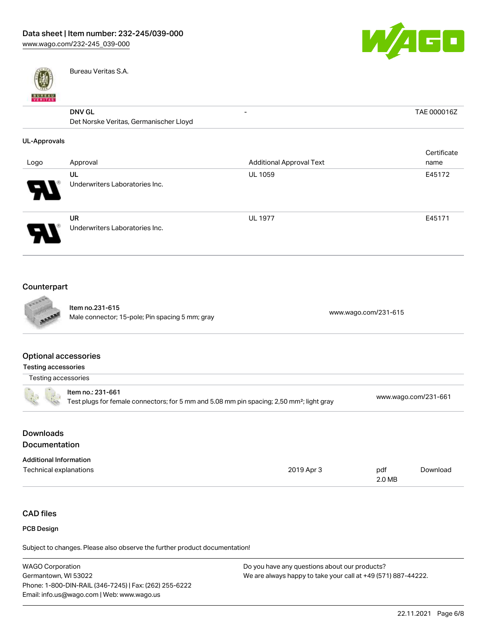

- TAE 000016Z



Bureau Veritas S.A.

# DNV GL

| <b>DNV GL</b>                          | - |  |
|----------------------------------------|---|--|
| Det Norske Veritas, Germanischer Lloyd |   |  |

### UL-Approvals

| Logo                  | Approval                                    | <b>Additional Approval Text</b> | Certificate<br>name |
|-----------------------|---------------------------------------------|---------------------------------|---------------------|
| $\boldsymbol{\theta}$ | UL<br>Underwriters Laboratories Inc.        | <b>UL 1059</b>                  | E45172              |
| J                     | <b>UR</b><br>Underwriters Laboratories Inc. | <b>UL 1977</b>                  | E45171              |

# Counterpart



Item no.231-615 Nale connector; 15-pole; Pin spacing 5 mm; gray [www.wago.com/231-615](https://www.wago.com/231-615)

### Optional accessories

| Testing accessories |                                                                                                                            |                      |
|---------------------|----------------------------------------------------------------------------------------------------------------------------|----------------------|
| Testing accessories |                                                                                                                            |                      |
|                     | ltem no.: 231-661<br>Test plugs for female connectors; for 5 mm and 5.08 mm pin spacing; 2,50 mm <sup>2</sup> ; light gray | www.wago.com/231-661 |
|                     |                                                                                                                            |                      |

# Downloads **Documentation**

| <b>Additional Information</b> |            |        |          |
|-------------------------------|------------|--------|----------|
| Technical explanations        | 2019 Apr 3 | pdf    | Download |
|                               |            | 2.0 MB |          |

# CAD files

## PCB Design

Subject to changes. Please also observe the further product documentation!

| <b>WAGO Corporation</b>                                | Do you have any questions about our products?                 |
|--------------------------------------------------------|---------------------------------------------------------------|
| Germantown. WI 53022                                   | We are always happy to take your call at +49 (571) 887-44222. |
| Phone: 1-800-DIN-RAIL (346-7245)   Fax: (262) 255-6222 |                                                               |
| Email: info.us@wago.com   Web: www.wago.us             |                                                               |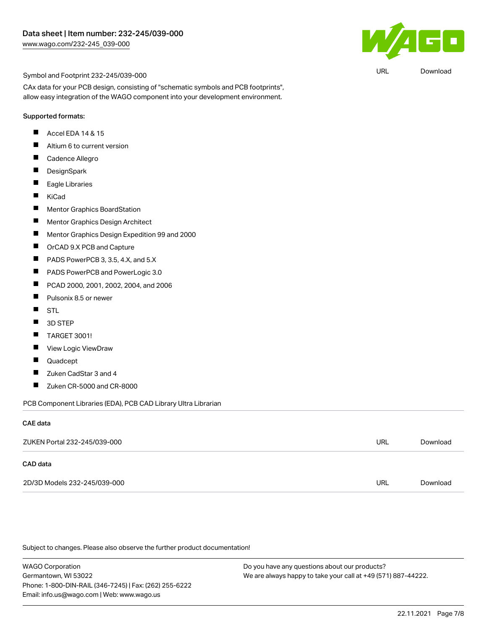

URL [Download](https://www.wago.com/global/d/UltraLibrarian_URLS_232-245_039-000)

#### Symbol and Footprint 232-245/039-000

CAx data for your PCB design, consisting of "schematic symbols and PCB footprints", allow easy integration of the WAGO component into your development environment.

#### Supported formats:

- $\blacksquare$ Accel EDA 14 & 15
- П Altium 6 to current version
- $\blacksquare$ Cadence Allegro
- $\blacksquare$ **DesignSpark**
- $\blacksquare$ Eagle Libraries
- $\blacksquare$ KiCad
- $\blacksquare$ Mentor Graphics BoardStation
- $\blacksquare$ Mentor Graphics Design Architect
- $\blacksquare$ Mentor Graphics Design Expedition 99 and 2000
- $\blacksquare$ OrCAD 9.X PCB and Capture
- $\blacksquare$ PADS PowerPCB 3, 3.5, 4.X, and 5.X
- $\blacksquare$ PADS PowerPCB and PowerLogic 3.0
- $\blacksquare$ PCAD 2000, 2001, 2002, 2004, and 2006
- $\blacksquare$ Pulsonix 8.5 or newer
- $\blacksquare$ STL
- $\blacksquare$ 3D STEP
- $\blacksquare$ TARGET 3001!
- $\blacksquare$ View Logic ViewDraw
- $\blacksquare$ Quadcept
- $\blacksquare$ Zuken CadStar 3 and 4
- $\blacksquare$ Zuken CR-5000 and CR-8000

PCB Component Libraries (EDA), PCB CAD Library Ultra Librarian

#### CAE data

| ZUKEN Portal 232-245/039-000 | URL | Download |
|------------------------------|-----|----------|
| CAD data                     |     |          |
| 2D/3D Models 232-245/039-000 | URL | Download |

Subject to changes. Please also observe the further product documentation!

WAGO Corporation Germantown, WI 53022 Phone: 1-800-DIN-RAIL (346-7245) | Fax: (262) 255-6222 Email: info.us@wago.com | Web: www.wago.us